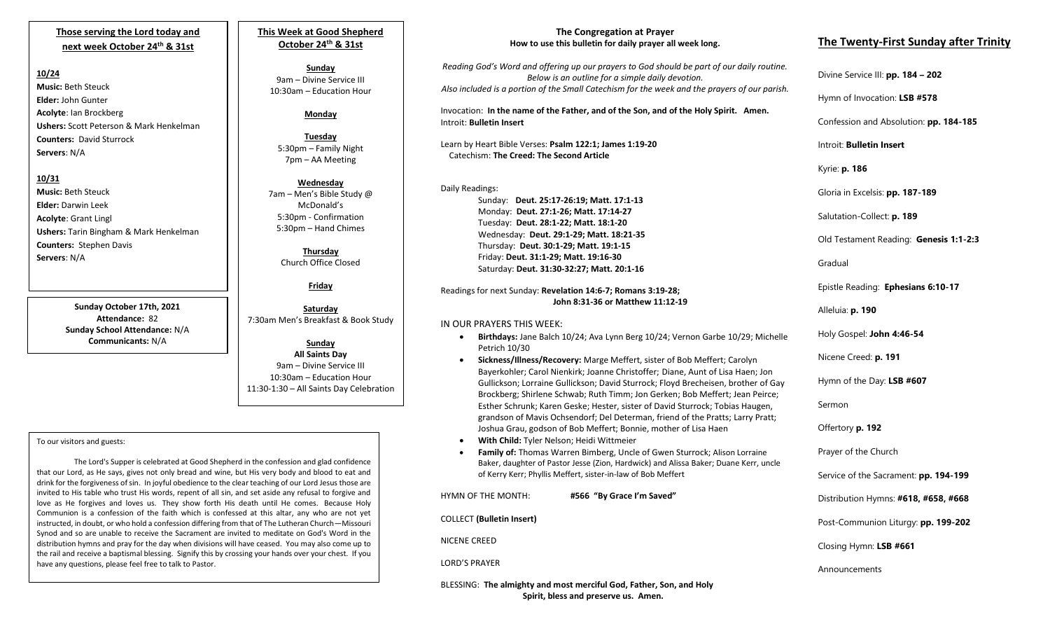# **Those serving the Lord today and next week October 24th & 31st**

#### **10/24**

**Music:** Beth Steuck **Elder:** John Gunter **Acolyte**: Ian Brockberg **Ushers:** Scott Peterson & Mark Henkelman **Counters:** David Sturrock **Servers**: N/A

### **10/31**

**Music:** Beth Steuck **Elder:** Darwin Leek **Acolyte**: Grant Lingl **Ushers:** Tarin Bingham & Mark Henkelman **Counters:** Stephen Davis **Servers**: N/A

> **Sunday October 17th, 2021 Attendance:** 82 **Sunday School Attendance:** N/A **Communicants:** N/A

# **This Week at Good Shepherd October 24th & 31st**

**Sunday** 9am – Divine Service III 10:30am – Education Hour

## **Monday**

**Tuesday** 5:30pm – Family Night 7pm – AA Meeting

**Wednesday** 7am – Men's Bible Study @ McDonald's 5:30pm - Confirmation 5:30pm – Hand Chimes

> **Thursday** Church Office Closed

> > **Friday**

**Saturday** 7:30am Men's Breakfast & Book Study

# **Sunday All Saints Day**  9am – Divine Service III

10:30am – Education Hour 11:30-1:30 – All Saints Day Celebration

#### To our visitors and guests:

Synod and so are unable to receive the Sacrament are invited to meditate on God's Word in the The Lord's Supper is celebrated at Good Shepherd in the confession and glad confidence that our Lord, as He says, gives not only bread and wine, but His very body and blood to eat and drink for the forgiveness of sin. In joyful obedience to the clear teaching of our Lord Jesus those are invited to His table who trust His words, repent of all sin, and set aside any refusal to forgive and love as He forgives and loves us. They show forth His death until He comes. Because Holy Communion is a confession of the faith which is confessed at this altar, any who are not yet instructed, in doubt, or who hold a confession differing from that of The Lutheran Church—Missouri distribution hymns and pray for the day when divisions will have ceased. You may also come up to the rail and receive a baptismal blessing. Signify this by crossing your hands over your chest. If you have any questions, please feel free to talk to Pastor.

## **The Congregation at Prayer How to use this bulletin for daily prayer all week long.**

*Reading God's Word and offering up our prayers to God should be part of our daily routine. Below is an outline for a simple daily devotion. Also included is a portion of the Small Catechism for the week and the prayers of our parish.*

Invocation: **In the name of the Father, and of the Son, and of the Holy Spirit. Amen.** Introit: **Bulletin Insert**

Learn by Heart Bible Verses: **Psalm 122:1; James 1:19-20** Catechism: **The Creed: The Second Article**

# Daily Readings:

Sunday: **Deut. 25:17-26:19; Matt. 17:1-13** Monday: **Deut. 27:1-26; Matt. 17:14-27** Tuesday: **Deut. 28:1-22; Matt. 18:1-20** Wednesday: **Deut. 29:1-29; Matt. 18:21-35** Thursday: **Deut. 30:1-29; Matt. 19:1-15** Friday: **Deut. 31:1-29; Matt. 19:16-30** Saturday: **Deut. 31:30-32:27; Matt. 20:1-16**

Readings for next Sunday: **Revelation 14:6-7; Romans 3:19-28; John 8:31-36 or Matthew 11:12-19**

## IN OUR PRAYERS THIS WEEK:

- **Birthdays:** Jane Balch 10/24; Ava Lynn Berg 10/24; Vernon Garbe 10/29; Michelle Petrich 10/30
- **Sickness/Illness/Recovery:** Marge Meffert, sister of Bob Meffert; Carolyn Bayerkohler; Carol Nienkirk; Joanne Christoffer; Diane, Aunt of Lisa Haen; Jon Gullickson; Lorraine Gullickson; David Sturrock; Floyd Brecheisen, brother of Gay Brockberg; Shirlene Schwab; Ruth Timm; Jon Gerken; Bob Meffert; Jean Peirce; Esther Schrunk; Karen Geske; Hester, sister of David Sturrock; Tobias Haugen, grandson of Mavis Ochsendorf; Del Determan, friend of the Pratts; Larry Pratt; Joshua Grau, godson of Bob Meffert; Bonnie, mother of Lisa Haen
- **With Child:** Tyler Nelson; Heidi Wittmeier
- **Family of:** Thomas Warren Bimberg, Uncle of Gwen Sturrock; Alison Lorraine Baker, daughter of Pastor Jesse (Zion, Hardwick) and Alissa Baker; Duane Kerr, uncle of Kerry Kerr; Phyllis Meffert, sister-in-law of Bob Meffert

| HYMN OF THE MONTH:                                                  | #566 "By Grace I'm Saved" |
|---------------------------------------------------------------------|---------------------------|
| <b>COLLECT</b> (Bulletin Insert)                                    |                           |
| NICENE CREED                                                        |                           |
| <b>LORD'S PRAYER</b>                                                |                           |
| BLESSING: The almighty and most merciful God, Father, Son, and Holy |                           |

 **Spirit, bless and preserve us. Amen.**

# **The Twenty-First Sunday after Trinity**

Divine Service III: **pp. 184 – 202**

Hymn of Invocation: **LSB #578**

Confession and Absolution: **pp. 184-185**

Introit: **Bulletin Insert** 

Kyrie: **p. 186**

Gloria in Excelsis: **pp. 187-189**

Salutation-Collect: **p. 189**

Old Testament Reading: **Genesis 1:1-2:3**

Gradual

Epistle Reading: **Ephesians 6:10-17**

Alleluia: **p. 190**

Holy Gospel: **John 4:46-54**

Nicene Creed: **p. 191**

Hymn of the Day: **LSB #607**

Sermon

Offertory **p. 192**

Prayer of the Church

Service of the Sacrament: **pp. 194-199**

Distribution Hymns: **#618, #658, #668**

Post-Communion Liturgy: **pp. 199-202** 

Closing Hymn: **LSB #661**

Announcements